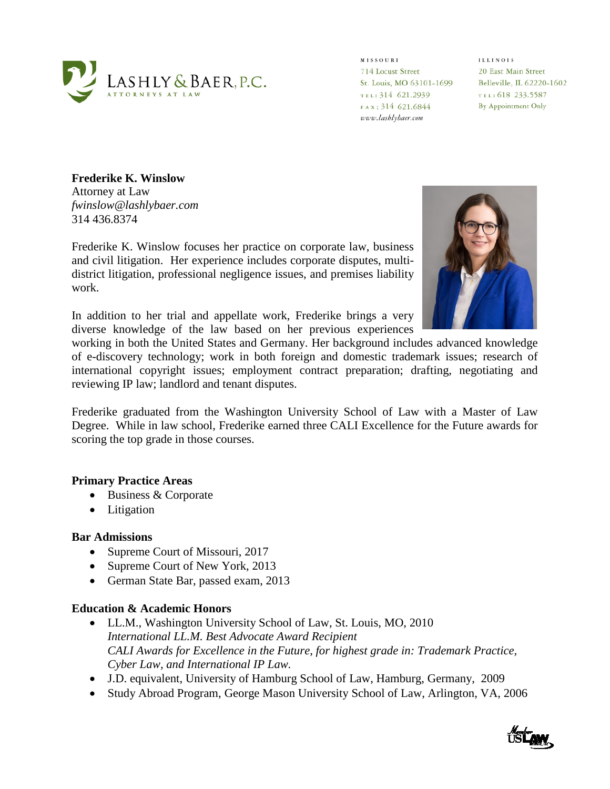

**MISSOURI** 714 Locust Street St. Louis, MO 63101-1699 Belleville, IL 62220-1602 TEL: 314 621.2939 FAX: 314 621.6844 www.lashlybaer.com

**ILLINOIS** 20 East Main Street TEL: 618 233.5587 By Appointment Only

**Frederike K. Winslow**  Attorney at Law *fwinslow@lashlybaer.com*  314 436.8374

Frederike K. Winslow focuses her practice on corporate law, business and civil litigation. Her experience includes corporate disputes, multidistrict litigation, professional negligence issues, and premises liability work.

In addition to her trial and appellate work, Frederike brings a very diverse knowledge of the law based on her previous experiences



working in both the United States and Germany. Her background includes advanced knowledge of e-discovery technology; work in both foreign and domestic trademark issues; research of international copyright issues; employment contract preparation; drafting, negotiating and reviewing IP law; landlord and tenant disputes.

Frederike graduated from the Washington University School of Law with a Master of Law Degree. While in law school, Frederike earned three CALI Excellence for the Future awards for scoring the top grade in those courses.

## **Primary Practice Areas**

- Business & Corporate
- Litigation

#### **Bar Admissions**

- Supreme Court of Missouri, 2017
- Supreme Court of New York, 2013
- German State Bar, passed exam, 2013

### **Education & Academic Honors**

- LL.M., Washington University School of Law, St. Louis, MO, 2010 *International LL.M. Best Advocate Award Recipient CALI Awards for Excellence in the Future, for highest grade in: Trademark Practice, Cyber Law, and International IP Law.*
- J.D. equivalent, University of Hamburg School of Law, Hamburg, Germany, 2009
- Study Abroad Program, George Mason University School of Law, Arlington, VA, 2006